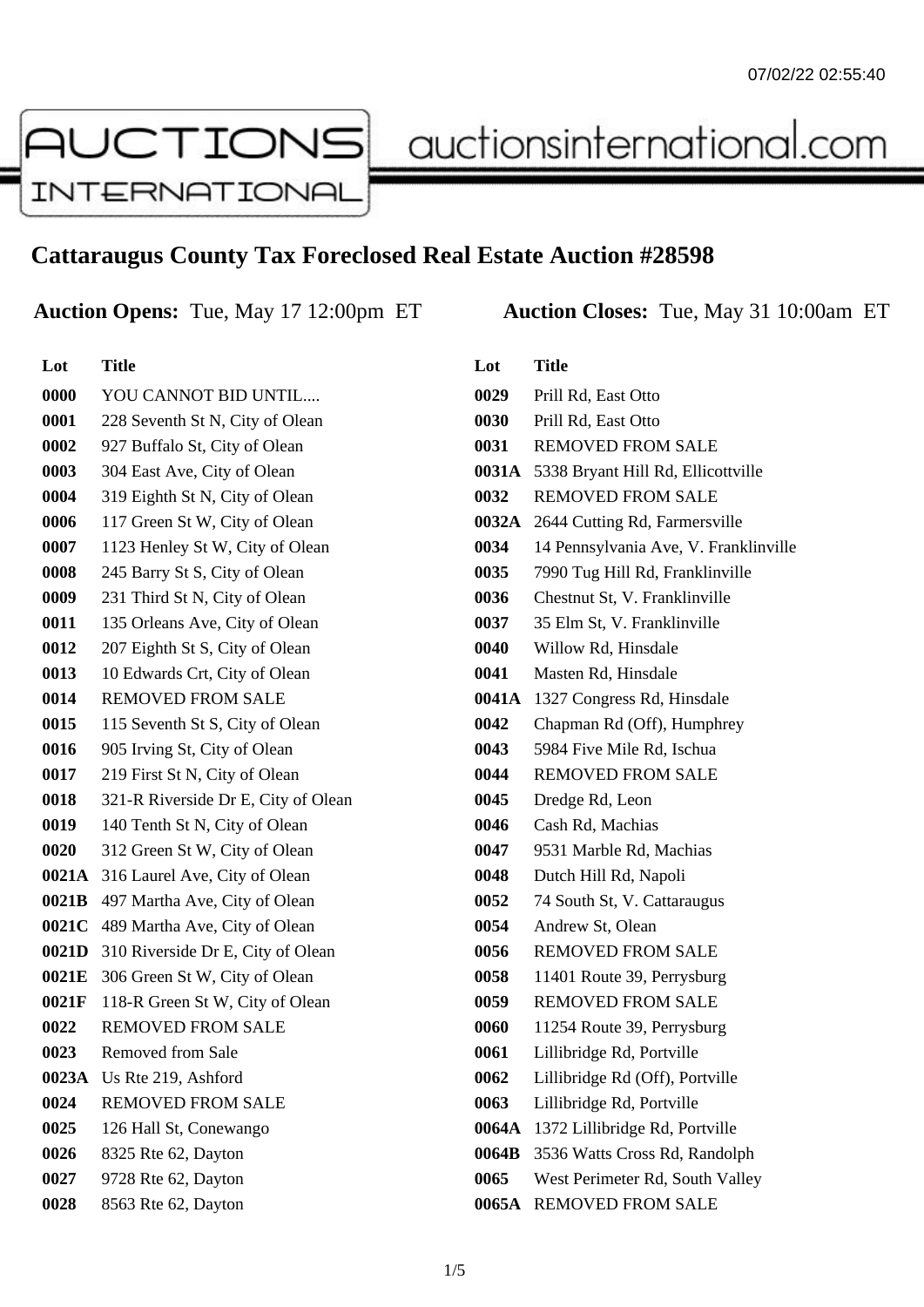

auctionsinternational.com

## **Cattaraugus County Tax Foreclosed Real Estate Auction #28598**

## **Auction Opens:** Tue, May 17 12:00pm ET **Auction Closes:** Tue, May 31 10:00am ET

| Lot   | <b>Title</b>                        |
|-------|-------------------------------------|
| 0000  | YOU CANNOT BID UNTIL                |
| 0001  | 228 Seventh St N, City of Olean     |
| 0002  | 927 Buffalo St, City of Olean       |
| 0003  | 304 East Ave, City of Olean         |
| 0004  | 319 Eighth St N, City of Olean      |
| 0006  | 117 Green St W, City of Olean       |
| 0007  | 1123 Henley St W, City of Olean     |
| 0008  | 245 Barry St S, City of Olean       |
| 0009  | 231 Third St N, City of Olean       |
| 0011  | 135 Orleans Ave, City of Olean      |
| 0012  | 207 Eighth St S, City of Olean      |
| 0013  | 10 Edwards Crt, City of Olean       |
| 0014  | <b>REMOVED FROM SALE</b>            |
| 0015  | 115 Seventh St S, City of Olean     |
| 0016  | 905 Irving St, City of Olean        |
| 0017  | 219 First St N, City of Olean       |
| 0018  | 321-R Riverside Dr E, City of Olean |
| 0019  | 140 Tenth St N, City of Olean       |
| 0020  | 312 Green St W, City of Olean       |
| 0021A | 316 Laurel Ave, City of Olean       |
| 0021B | 497 Martha Ave, City of Olean       |
| 0021C | 489 Martha Ave, City of Olean       |
| 0021D | 310 Riverside Dr E, City of Olean   |
| 0021E | 306 Green St W, City of Olean       |
| 0021F | 118-R Green St W, City of Olean     |
| 0022  | <b>REMOVED FROM SALE</b>            |
| 0023  | <b>Removed from Sale</b>            |
| 0023A | Us Rte 219, Ashford                 |
| 0024  | <b>REMOVED FROM SALE</b>            |
| 0025  | 126 Hall St, Conewango              |
| 0026  | 8325 Rte 62, Dayton                 |
| 0027  | 9728 Rte 62, Dayton                 |
| 0028  | 8563 Rte 62, Dayton                 |

| Lot   | Title                                 |
|-------|---------------------------------------|
| 0029  | Prill Rd, East Otto                   |
| 0030  | Prill Rd, East Otto                   |
| 0031  | <b>REMOVED FROM SALE</b>              |
| 0031A | 5338 Bryant Hill Rd, Ellicottville    |
| 0032  | <b>REMOVED FROM SALE</b>              |
| 0032A | 2644 Cutting Rd, Farmersville         |
| 0034  | 14 Pennsylvania Ave, V. Franklinville |
| 0035  | 7990 Tug Hill Rd, Franklinville       |
| 0036  | Chestnut St, V. Franklinville         |
| 0037  | 35 Elm St, V. Franklinville           |
| 0040  | Willow Rd, Hinsdale                   |
| 0041  | Masten Rd, Hinsdale                   |
| 0041A | 1327 Congress Rd, Hinsdale            |
| 0042  | Chapman Rd (Off), Humphrey            |
| 0043  | 5984 Five Mile Rd, Ischua             |
| 0044  | <b>REMOVED FROM SALE</b>              |
| 0045  | Dredge Rd, Leon                       |
| 0046  | Cash Rd, Machias                      |
| 0047  | 9531 Marble Rd, Machias               |
| 0048  | Dutch Hill Rd, Napoli                 |
| 0052  | 74 South St, V. Cattaraugus           |
| 0054  | Andrew St, Olean                      |
| 0056  | <b>REMOVED FROM SALE</b>              |
| 0058  | 11401 Route 39, Perrysburg            |
| 0059  | <b>REMOVED FROM SALE</b>              |
| 0060  | 11254 Route 39, Perrysburg            |
| 0061  | Lillibridge Rd, Portville             |
| 0062  | Lillibridge Rd (Off), Portville       |
| 0063  | Lillibridge Rd, Portville             |
| 0064A | 1372 Lillibridge Rd, Portville        |
| 0064B | 3536 Watts Cross Rd, Randolph         |
| 0065  | West Perimeter Rd, South Valley       |
| 0065A | <b>REMOVED FROM SALE</b>              |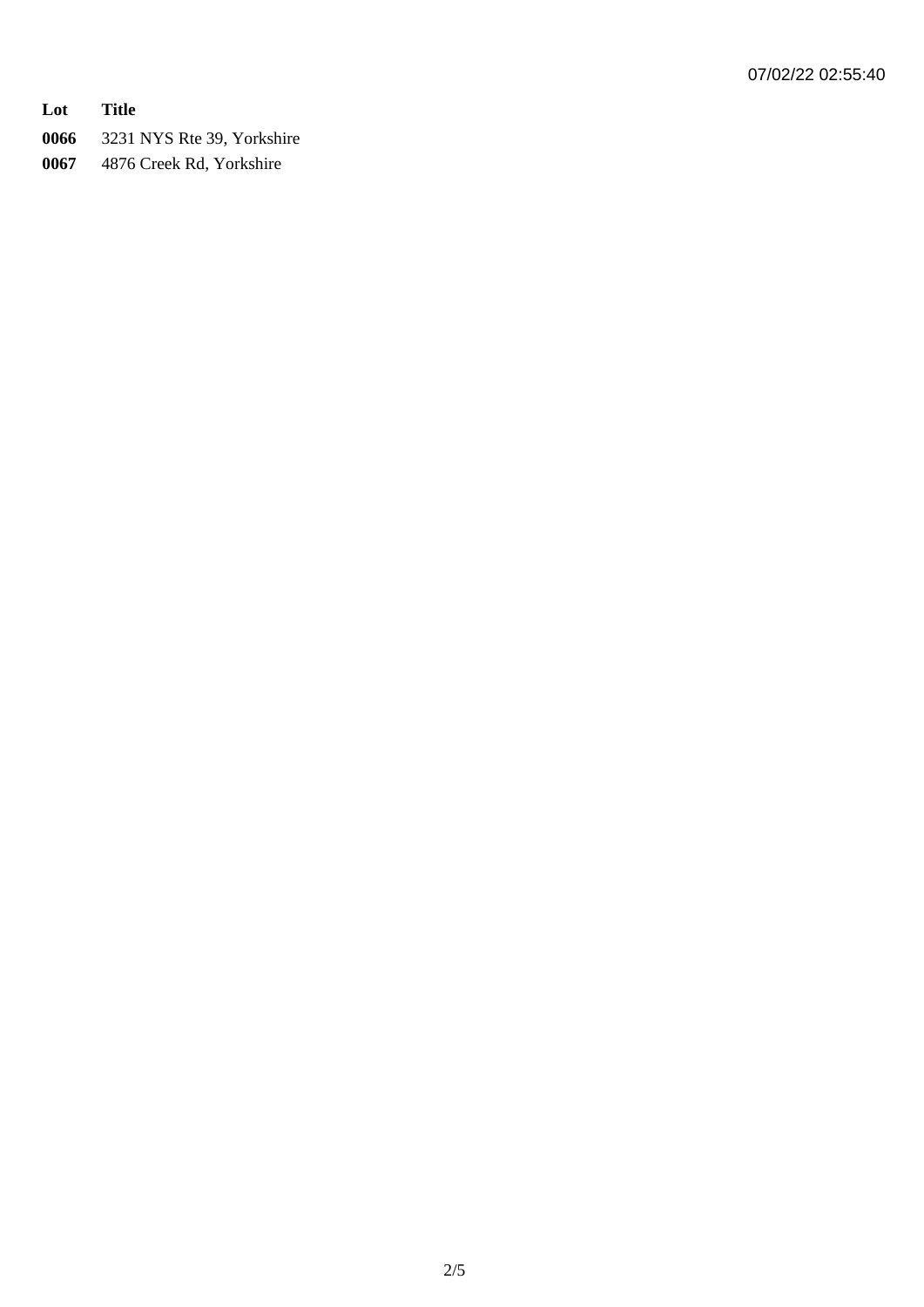## **Lot Title**

- **0066** 3231 NYS Rte 39, Yorkshire
- **0067** 4876 Creek Rd, Yorkshire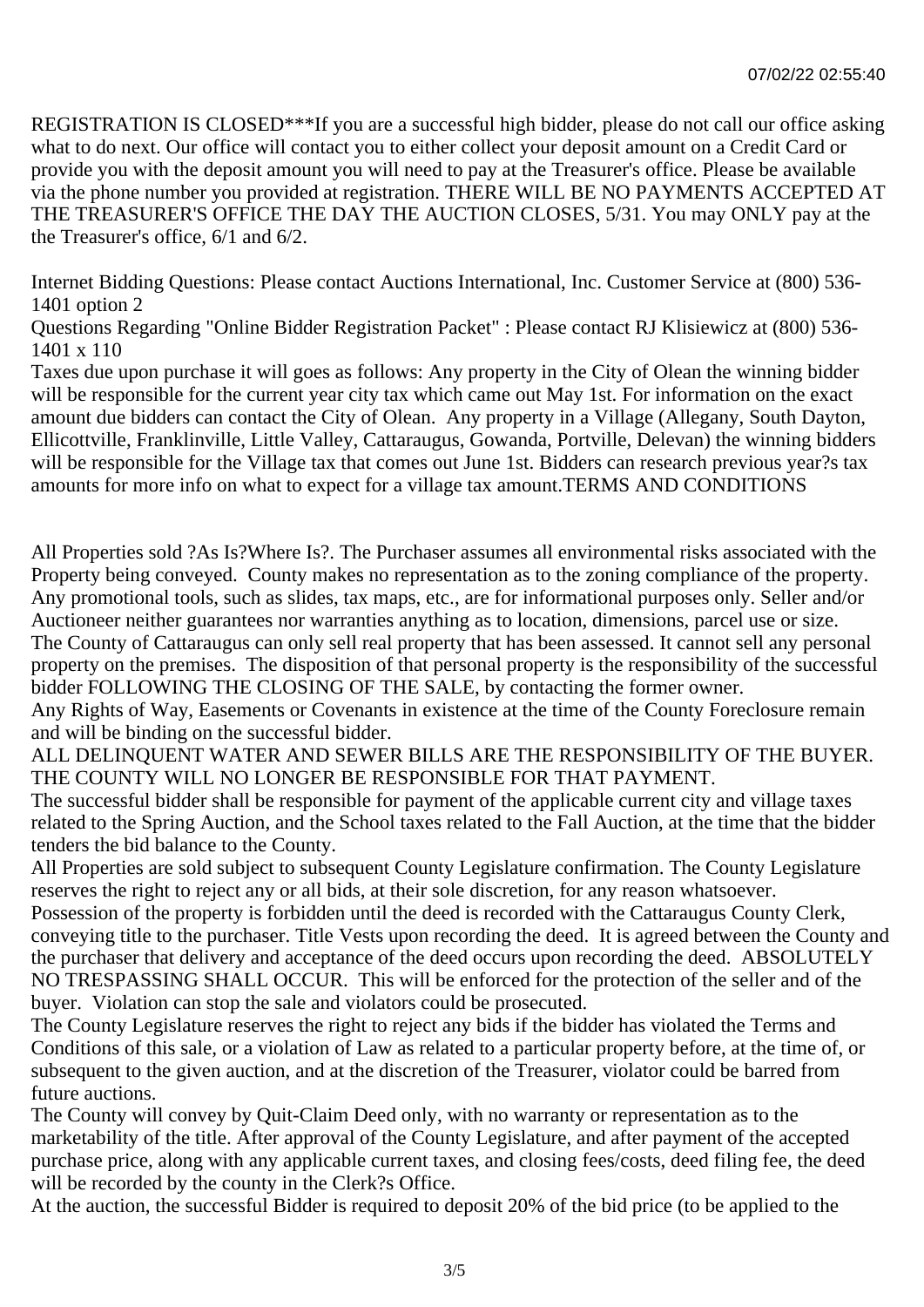REGISTRATION IS CLOSED\*\*\*If you are a successful high bidder, please do not call our office asking what to do next. Our office will contact you to either collect your deposit amount on a Credit Card or provide you with the deposit amount you will need to pay at the Treasurer's office. Please be available via the phone number you provided at registration. THERE WILL BE NO PAYMENTS ACCEPTED AT THE TREASURER'S OFFICE THE DAY THE AUCTION CLOSES, 5/31. You may ONLY pay at the the Treasurer's office, 6/1 and 6/2.

Internet Bidding Questions: Please contact Auctions International, Inc. Customer Service at (800) 536- 1401 option 2

Questions Regarding "Online Bidder Registration Packet" : Please contact RJ Klisiewicz at (800) 536- 1401 x 110

Taxes due upon purchase it will goes as follows: Any property in the City of Olean the winning bidder will be responsible for the current year city tax which came out May 1st. For information on the exact amount due bidders can contact the City of Olean. Any property in a Village (Allegany, South Dayton, Ellicottville, Franklinville, Little Valley, Cattaraugus, Gowanda, Portville, Delevan) the winning bidders will be responsible for the Village tax that comes out June 1st. Bidders can research previous year?s tax amounts for more info on what to expect for a village tax amount.TERMS AND CONDITIONS

All Properties sold ?As Is?Where Is?. The Purchaser assumes all environmental risks associated with the Property being conveyed. County makes no representation as to the zoning compliance of the property. Any promotional tools, such as slides, tax maps, etc., are for informational purposes only. Seller and/or Auctioneer neither guarantees nor warranties anything as to location, dimensions, parcel use or size. The County of Cattaraugus can only sell real property that has been assessed. It cannot sell any personal property on the premises. The disposition of that personal property is the responsibility of the successful bidder FOLLOWING THE CLOSING OF THE SALE, by contacting the former owner.

Any Rights of Way, Easements or Covenants in existence at the time of the County Foreclosure remain and will be binding on the successful bidder.

ALL DELINQUENT WATER AND SEWER BILLS ARE THE RESPONSIBILITY OF THE BUYER. THE COUNTY WILL NO LONGER BE RESPONSIBLE FOR THAT PAYMENT.

The successful bidder shall be responsible for payment of the applicable current city and village taxes related to the Spring Auction, and the School taxes related to the Fall Auction, at the time that the bidder tenders the bid balance to the County.

All Properties are sold subject to subsequent County Legislature confirmation. The County Legislature reserves the right to reject any or all bids, at their sole discretion, for any reason whatsoever.

Possession of the property is forbidden until the deed is recorded with the Cattaraugus County Clerk, conveying title to the purchaser. Title Vests upon recording the deed. It is agreed between the County and the purchaser that delivery and acceptance of the deed occurs upon recording the deed. ABSOLUTELY NO TRESPASSING SHALL OCCUR. This will be enforced for the protection of the seller and of the buyer. Violation can stop the sale and violators could be prosecuted.

The County Legislature reserves the right to reject any bids if the bidder has violated the Terms and Conditions of this sale, or a violation of Law as related to a particular property before, at the time of, or subsequent to the given auction, and at the discretion of the Treasurer, violator could be barred from future auctions.

The County will convey by Quit-Claim Deed only, with no warranty or representation as to the marketability of the title. After approval of the County Legislature, and after payment of the accepted purchase price, along with any applicable current taxes, and closing fees/costs, deed filing fee, the deed will be recorded by the county in the Clerk?s Office.

At the auction, the successful Bidder is required to deposit 20% of the bid price (to be applied to the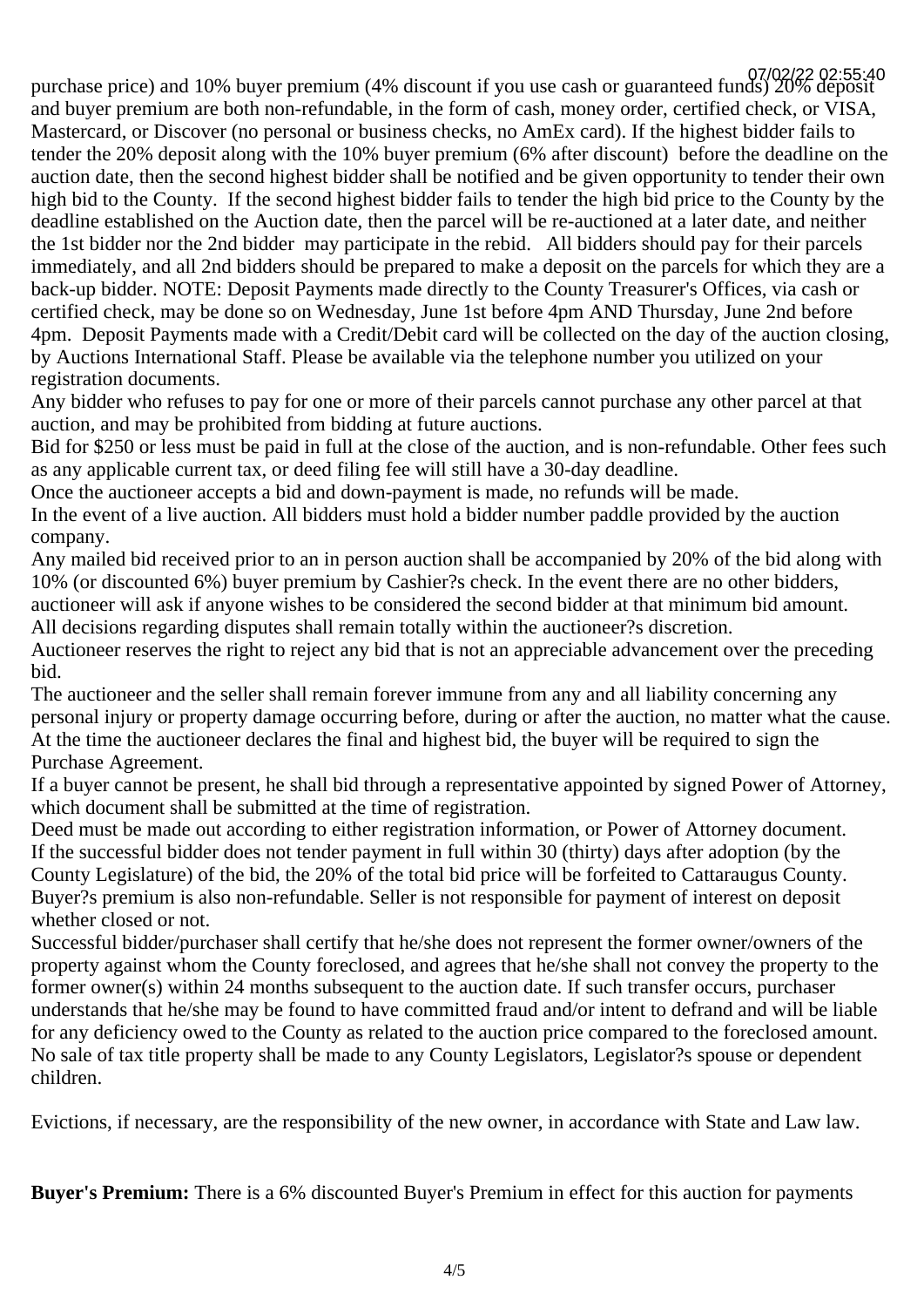purchase price) and 10% buyer premium (4% discount if you use cash or guaranteed funds) 20% deposit 07/02/22 02:55:40and buyer premium are both non-refundable, in the form of cash, money order, certified check, or VISA, Mastercard, or Discover (no personal or business checks, no AmEx card). If the highest bidder fails to tender the 20% deposit along with the 10% buyer premium (6% after discount) before the deadline on the auction date, then the second highest bidder shall be notified and be given opportunity to tender their own high bid to the County. If the second highest bidder fails to tender the high bid price to the County by the deadline established on the Auction date, then the parcel will be re-auctioned at a later date, and neither the 1st bidder nor the 2nd bidder may participate in the rebid. All bidders should pay for their parcels immediately, and all 2nd bidders should be prepared to make a deposit on the parcels for which they are a back-up bidder. NOTE: Deposit Payments made directly to the County Treasurer's Offices, via cash or certified check, may be done so on Wednesday, June 1st before 4pm AND Thursday, June 2nd before 4pm. Deposit Payments made with a Credit/Debit card will be collected on the day of the auction closing, by Auctions International Staff. Please be available via the telephone number you utilized on your registration documents.

Any bidder who refuses to pay for one or more of their parcels cannot purchase any other parcel at that auction, and may be prohibited from bidding at future auctions.

Bid for \$250 or less must be paid in full at the close of the auction, and is non-refundable. Other fees such as any applicable current tax, or deed filing fee will still have a 30-day deadline.

Once the auctioneer accepts a bid and down-payment is made, no refunds will be made.

In the event of a live auction. All bidders must hold a bidder number paddle provided by the auction company.

Any mailed bid received prior to an in person auction shall be accompanied by 20% of the bid along with 10% (or discounted 6%) buyer premium by Cashier?s check. In the event there are no other bidders, auctioneer will ask if anyone wishes to be considered the second bidder at that minimum bid amount.

All decisions regarding disputes shall remain totally within the auctioneer?s discretion.

Auctioneer reserves the right to reject any bid that is not an appreciable advancement over the preceding bid.

The auctioneer and the seller shall remain forever immune from any and all liability concerning any personal injury or property damage occurring before, during or after the auction, no matter what the cause. At the time the auctioneer declares the final and highest bid, the buyer will be required to sign the Purchase Agreement.

If a buyer cannot be present, he shall bid through a representative appointed by signed Power of Attorney, which document shall be submitted at the time of registration.

Deed must be made out according to either registration information, or Power of Attorney document. If the successful bidder does not tender payment in full within 30 (thirty) days after adoption (by the County Legislature) of the bid, the 20% of the total bid price will be forfeited to Cattaraugus County. Buyer?s premium is also non-refundable. Seller is not responsible for payment of interest on deposit whether closed or not.

Successful bidder/purchaser shall certify that he/she does not represent the former owner/owners of the property against whom the County foreclosed, and agrees that he/she shall not convey the property to the former owner(s) within 24 months subsequent to the auction date. If such transfer occurs, purchaser understands that he/she may be found to have committed fraud and/or intent to defrand and will be liable for any deficiency owed to the County as related to the auction price compared to the foreclosed amount. No sale of tax title property shall be made to any County Legislators, Legislator?s spouse or dependent children.

Evictions, if necessary, are the responsibility of the new owner, in accordance with State and Law law.

**Buyer's Premium:** There is a 6% discounted Buyer's Premium in effect for this auction for payments